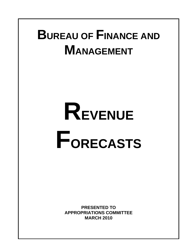# **BUREAU OF FINANCE AND MANAGEMENT**

# **REVENUE FORECASTS**

**PRESENTED TO APPROPRIATIONS COMMITTEE MARCH 2010**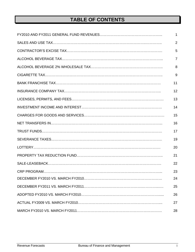# **TABLE OF CONTENTS**

| $\mathbf 1$    |
|----------------|
| $\overline{2}$ |
| 5              |
| $\overline{7}$ |
| 8              |
| 9              |
| 11             |
| 12             |
| 13             |
| 14             |
| 15             |
| 16             |
| 17             |
| 19             |
| 20             |
| 21             |
| 22             |
| 23             |
| 24             |
| 25             |
| 26             |
| 27             |
| 28             |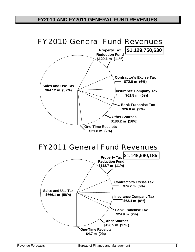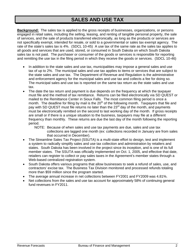#### **SALES AND USE TAX**

**Background:** The sales tax is applied to the gross receipts of businesses, organizations, or persons engaged in retail sales, including the selling, leasing, and renting of tangible personal property, the sale of services, and the sale of products transferred electronically, as long as the products or services are not specifically exempt, intended for resale, or sold to a governmental or sales tax exempt agency. The rate of the state's sales tax is 4%. (SDCL 10-45) A use tax of the same rate as the sales tax applies to all goods and services that are used, stored, or consumed in South Dakota on which South Dakota sales tax is not paid. The purchaser or consumer of the goods or services is responsible for reporting and remitting the use tax in the filing period in which they receive the goods or services. (SDCL 10-46)

- In addition to the state sales and use tax, municipalities may impose a general sales and use tax of up to 2%. The municipal sales and use tax applies to items or services that are subject to the state sales and use tax. The Department of Revenue and Regulation is the administrative and enforcement agency for the municipal sales and use tax and collects a fee for doing so. The municipal sales and use tax is reported on the same tax return as the state sales and use tax.
- The date the tax return and payment is due depends on the frequency at which the taxpayer must file and the method of tax remittance. Returns can be filed electronically via SD QUEST or mailed to the Remittance Center in Sioux Falls. The most common filing period is once a month. The deadline for filing by mail is the  $20<sup>th</sup>$  of the following month. Taxpayers that file and pay with SD QUEST must file returns no later than the 23<sup>rd</sup> day of the month, and payments must be electronically remitted on the second to last working day of the month. If gross receipts are small or if there is a unique situation to the business, taxpayers may file at a different frequency than monthly. These returns are due the last day of the month following the reporting period.

NOTE: Because of when sales and use tax payments are due, sales and use tax collections are lagged one month (ex: collections recorded in January are from sales that occurred in December).

- The Streamline Sales Tax Project (SSUTA) is a multi-state effort to design, test and implement a system to radically simplify sales and use tax collection and administration by retailers and states. South Dakota has been involved in the project since its inception, and is one of its full member states. The SSUTA was officially implemented on Oct. 1, 2005, and effective that date, retailers can register to collect or pay sales taxes in the Agreement's member states through a Web-based centralized registration system.
- South Dakota offers various programs that allow businesses to seek a refund of sales, use, and contractors' excise tax. The Business Tax Division monitored and processed refunds totaling more than \$59 million since the program started.
- The average annual increase in net collections between FY2001 and FY2009 was 4.81%.
- Net collections from the sales and use tax account for approximately 58% of continuing general fund revenues in FY2011.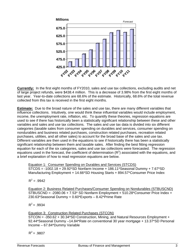

**Currently:** In the first eight months of FY2010, sales and use tax collections, excluding audits and net of large project refunds, were \$438.4 million. This is a decrease of 3.98% from the first eight months of last year. Year-to-date collections are 68.6% of the estimate. Historically, 68.6% of the total revenue collected from this tax is received in the first eight months.

**Estimate:** Due to the broad nature of the sales and use tax, there are many different variables that influence collections. Intuitively, one would think these influential variables would include employment, income, the unemployment rate, inflation, etc. To quantify these theories, regression equations are used to see if there has historically been a statistically significant relationship between these and other variables and sales and use tax collections. The sales and use tax data is divided into six different categories (taxable sales from consumer spending on durables and services, consumer spending on nondurables and business related purchases, construction related purchases, recreation related purchases, utilities, and all other sales) to account for the broad base of the sales and use tax. Different variables are then used in the equations to see if historically there has been a statistically significant relationship between them and taxable sales. After finding the best fitting regression equation for each of the six categories, sales and use tax collections were forecasted. The regression equations used in the forecast, the coefficient of determination  $(R^2)$  associated with the equations, and a brief explanation of how to read regression equations are below.

Equation 1: Consumer Spending on Durables and Services (STCDS) STCDS = -1002.18 + 29.92\*SD Nonfarm Income + 186.11\*Seasonal Dummy + 7.67\*SD Manufacturing Employment + 14.66\*SD Housing Starts + 894.57\*Consumer Price Index

 $R^2 = .9942$ 

Equation 2: Business Related Purchases/Consumer Spending on Nondurables (STBUSCND)  $STBUSCND = -2080.06 + 7.53* SD Nonfarm Emboyment + 510.28*Consumer Price Index +$ 230.63\*Seasonal Dummy + 0.60\*Exports – 8.42\*Prime Rate

 $R^2$  = .9934

#### Equation 3: Construction Related Purchases (STCON)

STCON = -350.62 + 30.34\*SD Construction, Mining, and Natural Resources Employment + 92.44\*Seasonal Dummy –14.84\*Rate on conventional 30 year mortgage + 13.37\*SD Personal Income – 67.84\*Dummy Variable

 $R^2$  = .9807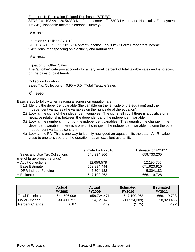Equation 4: Recreation Related Purchases (STREC)

STREC = -103.99 + 20.54\*SD Nonfarm Income + 7.15\*SD Leisure and Hospitality Employment + 6.34\*(Disposable Income\*Seasonal Dummy)

 $R^2$  = .9971

Equation 5: Utilities (STUTI)

STUTI = -215.99 + 23.10\* SD Nonfarm Income + 55.33\*SD Farm Proprietors Income + 2.42\*Consumer spending on electricity and natural gas.

 $R^2$  = .9844

#### Equation 6: Other Sales

The "all other" category accounts for a very small percent of total taxable sales and is forecast on the basis of past trends.

#### Collection Equation:

Sales Tax Collections =  $0.95 + 0.04$ \*Total Taxable Sales

 $R^2 = 9990$ 

Basic steps to follow when reading a regression equation are:

- 1.) Identify the dependent variable (the variable on the left side of the equation) and the independent variables (the variables on the right side of the equation).
- 2.) Look at the signs of the independent variables. The signs tell you if there is a positive or a negative relationship between the dependent and the independent variable.
- 3.) Look at the numbers in front of the independent variables. They quantify the change in the dependent variable if there is a one unit change in the independent variable, holding the other independent variables constant.
- 4.) Look at the  $R^2$ . This is one way to identify how good an equation fits the data. An  $R^2$  value close to one tells you that the equation has an excellent overall fit.

|                                | Estimate for FY2010 | Estimate for FY2011 |
|--------------------------------|---------------------|---------------------|
| Sales and Use Tax Collections  | 640,334,866         | 659,733,205         |
| (net of large project refunds) |                     |                     |
| + Audit Collections            | 12,659,578          | 12,190,705          |
| $=$ Base Estimate              | 652,994,444         | 671,923,910         |
| - DRR Indirect Funding         | 5,804,182           | 5,804,182           |
| $=$ Estimate                   | 647,190,262         | 666,119,728         |

|                       | <b>Actual</b><br><b>FY2008</b> | Actual<br><b>FY2009</b> | <b>Estimated</b><br><b>FY2010</b> | <b>Estimated</b><br><b>FY2011</b> |
|-----------------------|--------------------------------|-------------------------|-----------------------------------|-----------------------------------|
| <b>Total Receipts</b> | 644,596,998                    | 658,724,471             | 647,190,262                       | 666,119,728                       |
| Dollar Change         | 41,411,711                     | 14,127,473              | (11,534,209)                      | 18,929,466                        |
| Percent Change        | 6.87                           | 2.19                    | $1.75^{\circ}$                    | 2.92                              |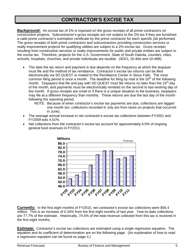#### **CONTRACTOR'S EXCISE TAX**

**Background:** An excise tax of 2% is imposed on the gross receipts of all prime contractors on construction projects. Subcontractor's gross receipts are not subject to the 2% tax if they are furnished a valid prime contractor's exemption certificate by the prime contractor for each specific job performed. The gross receipts of both prime contractors and subcontractors providing construction services or realty improvement projects for qualifying utilities are subject to a 2% excise tax. Gross receipts resulting from construction services or realty improvements for public and private entities are subject to the excise tax. Therefore, projects for the U.S. Government, State of South Dakota, counties, cities, schools, hospitals, churches, and private individuals are taxable. (SDCL 10-46A and 10-46B)

- The date the tax return and payment is due depends on the frequency at which the taxpayer must file and the method of tax remittance. Contractor's excise tax returns can be filed electronically via SD QUEST or mailed to the Remittance Center in Sioux Falls. The most common filing period is once a month. The deadline for filing by mail is the  $20<sup>th</sup>$  of the following month. Taxpayers that file and pay with SD QUEST must file returns no later than the 23<sup>rd</sup> day of the month, and payments must be electronically remitted on the second to last working day of the month. If gross receipts are small or if there is a unique situation to the business, taxpayers may file at a different frequency than monthly. These returns are due the last day of the month following the reporting period.
	- NOTE: Because of when contractor's excise tax payments are due, collections are lagged one month (ex: collections recorded in July are from taxes on projects that occurred in June).
- The average annual increase in net contractor's excise tax collections between FY2001 and FY2009 was 4.51%.
- Net collections from the contractor's excise tax account for approximately 6.5% of ongoing general fund revenues in FY2011.



**Currently:** In the first eight months of FY2010, net contractor's excise tax collections were \$56.4 million. This is an increase of 0.34% from the first eight months of last year. Year-to-date collections are 77.7% of the estimate. Historically, 74.5% of the total revenue collected from this tax is received in the first eight months.

**Estimate:** Contractor's excise tax collections are estimated using a single regression equation. The equation and its coefficient of determination are on the following page. (An explanation of how to read a regression equation can be found on page 4.)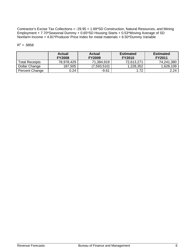Contractor's Excise Tax Collections = -29.95 + 1.69\*SD Construction, Natural Resources, and Mining Employment + 7.70\*Seasonal Dummy + 0.65\*SD Housing Starts + 0.53\*Moving Average of SD Nonfarm Income + 4.81\*Producer Price Index for metal materials + 6.50\*Dummy Variable

|                       | Actual<br><b>FY2008</b> | Actual<br><b>FY2009</b> | <b>Estimated</b><br><b>FY2010</b> | <b>Estimated</b><br><b>FY2011</b> |
|-----------------------|-------------------------|-------------------------|-----------------------------------|-----------------------------------|
| <b>Total Receipts</b> | 78,978,429              | 71,384,919              | 72,613,271                        | 74,241,380                        |
| Dollar Change         | 187,505                 | (7,593,510)             | 1,228,352                         | 1,628,109                         |
| Percent Change        | 0.24                    | $-9.61$                 | 1.72                              | 2.24                              |

#### $R^2 = .9858$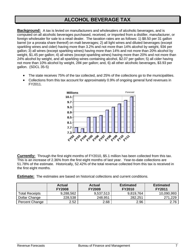#### **ALCOHOL BEVERAGE TAX**

**Background:** A tax is levied on manufacturers and wholesalers of alcoholic beverages, and is computed on all alcoholic beverages purchased, received, or imported from a distiller, manufacturer, or foreign wholesaler for sale to a retail dealer. The taxation rates are as follows: 1) \$8.50 per 31 gallon barrel (or a prorata share thereof) on malt beverages; 2) all light wines and diluted beverages (except sparkling wines and cider) having more than 3.2% and not more than 14% alcohol by weight, 93¢ per gallon; 3) all wines (except sparkling wines) having more than 14% and not more than 20% alcohol by weight, \$1.45 per gallon; 4) all wines (except sparkling wines) having more than 20% and not more than 24% alcohol by weight, and all sparkling wines containing alcohol, \$2.07 per gallon; 5) all cider having not more than 10% alcohol by weight, 28¢ per gallon; and, 6) all other alcoholic beverages, \$3.93 per gallon. (SDCL 35-5)

- The state receives 75% of the tax collected, and 25% of the collections go to the municipalities.
- Collections from this tax account for approximately 0.9% of ongoing general fund revenues in FY2011.



**Currently:** Through the first eight months of FY2010, \$5.1 million has been collected from this tax. This is an increase of 2.36% from the first eight months of last year. Year-to-date collections are 51.78% of the estimate. Historically, 52.42% of the total revenue collected from this tax is received in the first eight months.

**Estimate:** The estimates are based on historical collections and current conditions.

|                       | <b>Actual</b><br><b>FY2008</b> | <b>Actual</b><br><b>FY2009</b> | <b>Estimated</b><br><b>FY2010</b> | <b>Estimated</b><br><b>FY2011</b> |
|-----------------------|--------------------------------|--------------------------------|-----------------------------------|-----------------------------------|
| <b>Total Receipts</b> | 9,288,562                      | 9,537,513                      | 9,819,764                         | 10,090,993                        |
| Dollar Change         | 228,538                        | 248,951                        | 282,251                           | 271,229                           |
| Percent Change        | 2.52                           | 2.68                           | 2.96                              | 2.76                              |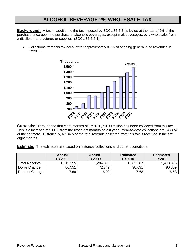#### **ALCOHOL BEVERAGE 2% WHOLESALE TAX**

**Background:** A tax, in addition to the tax imposed by SDCL 35-5-3, is levied at the rate of 2% of the purchase price upon the purchase of alcoholic beverages, except malt beverages, by a wholesaler from a distiller, manufacturer, or supplier. (SDCL 35-5-6.1)

• Collections from this tax account for approximately 0.1% of ongoing general fund revenues in FY2011.



**Currently:** Through the first eight months of FY2010, \$0.90 million has been collected from this tax. This is a increase of 9.06% from the first eight months of last year. Year-to-date collections are 64.88% of the estimate. Historically, 67.84% of the total revenue collected from this tax is received in the first eight months.

**Estimate:** The estimates are based on historical collections and current conditions.

|                       | <b>Actual</b><br><b>FY2008</b> | <b>Actual</b><br><b>FY2009</b> | <b>Estimated</b><br><b>FY2010</b> | <b>Estimated</b><br><b>FY2011</b> |
|-----------------------|--------------------------------|--------------------------------|-----------------------------------|-----------------------------------|
| <b>Total Receipts</b> | 1.212.155                      | 1,284,896                      | 1,383,587                         | 1,473,896                         |
| Dollar Change         | 86,551                         | 72.742                         | 98,691                            | 90,309                            |
| Percent Change        | 7.69                           | 6.00                           | 7.68                              | 6.53                              |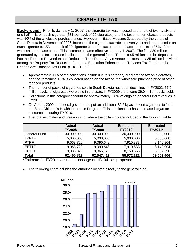#### **CIGARETTE TAX**

**Background:** Prior to January 1, 2007, the cigarette tax was imposed at the rate of twenty-six and one-half mills on each cigarette (53¢ per pack of 20 cigarettes) and the tax on other tobacco products was 10% of the wholesale purchase price. However, Initiated Measure 2, adopted by the voters of South Dakota in November of 2006, increased the cigarette tax rate to seventy-six and one-half mills on each cigarette (\$1.53 per pack of 20 cigarettes) and the tax on other tobacco products to 35% of the wholesale purchase price. This increase became effective January 1, 2007. The first \$30 million generated by this tax increase is allocated to the general fund. The next \$5 million is to be deposited into the Tobacco Prevention and Reduction Trust Fund. Any revenue in excess of \$35 million is divided among the Property Tax Reduction Fund, the Education Enhancement Tobacco Tax Fund and the Health Care Tobacco Tax Fund. (SDCL 10-50)

- Approximately 90% of the collections included in this category are from the tax on cigarettes, and the remaining 10% is collected based on the tax on the wholesale purchase price of other tobacco products.
- The number of packs of cigarettes sold in South Dakota has been declining. In FY2002, 57.0 million packs of cigarettes were sold in the state; in FY2009 there were 39.0 million packs sold.
- Collections in this category account for approximately 2.6% of ongoing general fund revenues in FY2011.
- On April 1, 2009 the federal government put an additional \$0.61/pack tax on cigarettes to fund the State Children's Health Insurance Program. This additional tax has decreased cigarette consumption during FY2010.

|                     | <b>Actual</b><br><b>FY2008</b> | <b>Actual</b><br><b>FY2009</b> | <b>Estimated</b><br><b>FY2010</b> | <b>Estimated</b><br>FY2011* |
|---------------------|--------------------------------|--------------------------------|-----------------------------------|-----------------------------|
| <b>General Fund</b> | 30,000,000                     | 30,000,000                     | 30,000,000                        | 30,000,000                  |
| <b>TPRTF</b>        | 5,000,000                      | 5,000,000                      | 5,000,000                         | 5,000,000                   |
| <b>PTRF</b>         | 9,063,720                      | 9,090,648                      | 7,910,833                         | 8,140,904                   |
| <b>EETTF</b>        | 9,063,720                      | 9,090,648                      | 7,910,833                         | 8,140,904                   |
| <b>HCTTF</b>        | 9,338,379                      | 9,366,123                      | 8,150,556                         | 8,387,598                   |
| <b>Total</b>        | 62,465,819                     | 62,547,419                     | 58,972,222                        | 59,669,406                  |

• The total estimates and breakdown of where the dollars go are included in the following table.

\*Estimate for FY2011 assumes passage of HB1041 as proposed.

The following chart includes the amount allocated directly to the general fund:

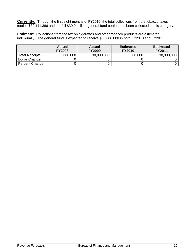**Currently:** Through the first eight months of FY2010, the total collections from the tobacco taxes totaled \$39,141,386 and the full \$30.0 million general fund portion has been collected in this category.

**Estimate:** Collections from the tax on cigarettes and other tobacco products are estimated individually. The general fund is expected to receive \$30,000,000 in both FY2010 and FY2011.

|                       | <b>Actual</b><br><b>FY2008</b> | <b>Actual</b><br><b>FY2009</b> | <b>Estimated</b><br><b>FY2010</b> | <b>Estimated</b><br><b>FY2011</b> |
|-----------------------|--------------------------------|--------------------------------|-----------------------------------|-----------------------------------|
| <b>Total Receipts</b> | 30,000,000                     | 30,000,000                     | 30,000,000                        | 30,000,000                        |
| Dollar Change         |                                |                                |                                   |                                   |
| Percent Change        |                                |                                |                                   |                                   |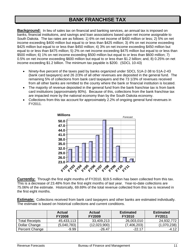#### **BANK FRANCHISE TAX**

**Background:** In lieu of sales tax on financial and banking services, an annual tax is imposed on banks, financial institutions, and savings and loan associations based upon net income assignable to South Dakota. The tax rates are as follows: 1) 6% on net income of \$400 million or less; 2) 5% on net income exceeding \$400 million but equal to or less than \$425 million; 3) 4% on net income exceeding \$425 million but equal to or less than \$450 million; 4) 3% on net income exceeding \$450 million but equal to or less than \$475 million; 5) 2% on net income exceeding \$475 million but equal to or less than \$500 million; 6) 1% on net income exceeding \$500 million but equal to or less than \$600 million; 7) 0.5% on net income exceeding \$600 million but equal to or less than \$1.2 billion; and, 8) 0.25% on net income exceeding \$1.2 billion. The minimum tax payable is \$200. (SDCL 10-43)

- Ninety-five percent of the taxes paid by banks organized under SDCL 51A-2-38 to 51A-2-43 (bank card taxpayers) and 26 2/3% of all other revenues are deposited in the general fund. The remaining 5% of collections from bank card taxpayers and the 73 1/3% of revenues received from all other banks are remitted to the county where the bank or financial institution is located.
- The majority of revenue deposited in the general fund from the bank franchise tax is from bank card institutions (approximately 80%). Because of this, collections from the bank franchise tax are impacted more by the national economy than by the South Dakota economy.
- Collections from this tax account for approximately 2.2% of ongoing general fund revenues in FY2011.



**Currently:** Through the first eight months of FY2010, \$19.5 million has been collected from this tax. This is a decrease of 23.48% from the first eight months of last year. Year-to-date collections are 75.06% of the estimate. Historically, 69.69% of the total revenue collected from this tax is received in the first eight months.

**Estimate:** Collections received from bank card taxpayers and other banks are estimated individually. The estimate is based on historical collections and current conditions.

|                       | <b>Actual</b><br><b>FY2008</b> | <b>Actual</b><br><b>FY2009</b> | <b>Estimated</b><br><b>FY2010</b> | <b>Estimated</b><br><b>FY2011</b> |
|-----------------------|--------------------------------|--------------------------------|-----------------------------------|-----------------------------------|
| <b>Total Receipts</b> | 45,433,113                     | 33,409,213                     | 26,003,010                        | 24,932,772                        |
| Dollar Change         | (5,040,783)                    | (12,023,900)                   | (7,406,203)                       | (1,070,238)                       |
| Percent Change        | $-9.99$                        | $-26.47$                       | $-22.17$                          | $-4.12$                           |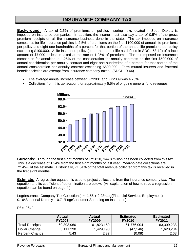#### **INSURANCE COMPANY TAX**

**Background:** A tax of 2.5% of premiums on policies insuring risks located in South Dakota is imposed on insurance companies. In addition, the insurer must also pay a tax of 0.5% of the gross premium receipts on all fire insurance business done in the state. The tax imposed on insurance companies for life insurance policies is 2.5% of premiums on the first \$100,000 of annual life premiums per policy and eight one-hundredths of a percent for that portion of the annual life premiums per policy exceeding \$100,000. A life insurance policy (other than credit life as defined in SDCL 58-19) of a face amount of \$7,000 or less is taxed at the rate of 1.25% of premiums. The tax imposed on insurance companies for annuities is 1.25% of the consideration for annuity contracts on the first \$500,000 of annual consideration per annuity contract and eight one-hundredths of a percent for that portion of the annual consideration per annuity contract exceeding \$500,000. Farm mutual insurers and fraternal benefit societies are exempt from insurance company taxes. (SDCL 10-44)

• The average annual increase between FY2001 and FY2009 was 4.75%.





**Currently:** Through the first eight months of FY2010, \$44.8 million has been collected from this tax. This is a decrease of 1.24% from the first eight months of last year. Year-to-date collections are 72.45% of the estimate. Historically, 71.51% of the total revenue collected from this tax is received in the first eight months.

**Estimate:** A regression equation is used to project collections from the insurance company tax. The equation and its coefficient of determination are below. (An explanation of how to read a regression equation can be found on page 4.)

Log(Insurance Company Tax Collections) = -1.56 + 0.28\*Log(Financial Services Employment) – 0.16\*Seasonal Dummy + 0.71\*Log(Consumer Spending on Insurance)

 $R^2 = 9642$ 

|                       | <b>Actual</b><br><b>FY2008</b> | Actual<br><b>FY2009</b> | <b>Estimated</b><br><b>FY2010</b> | <b>Estimated</b><br><b>FY2011</b> |
|-----------------------|--------------------------------|-------------------------|-----------------------------------|-----------------------------------|
| <b>Total Receipts</b> | 60,393,960                     | 61,823,150              | 61,776,004                        | 63,399,238                        |
| Dollar Change         | 3,111,290                      | 1,429,190               | (47,146)                          | 1,623,234                         |
| Percent Change        | 5.43                           | 2.37                    | (0.08)                            | 2.63                              |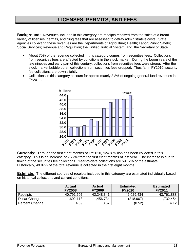#### **LICENSES, PERMITS, AND FEES**

**Background:** Revenues included in this category are receipts received from the sales of a broad variety of licenses, permits, and filing fees that are assessed to defray administrative costs. State agencies collecting these revenues are the Departments of Agriculture; Health; Labor; Public Safety; Social Services; Revenue and Regulation; the Unified Judicial System; and, the Secretary of State.

- About 70% of the revenue collected in this category comes from securities fees. Collections from securities fees are affected by conditions in the stock market. During the boom years of the late nineties and early part of this century, collections from securities fees were strong. After the stock market bubble burst, collections from securities fees dropped. Thus far in FY2010, security fee collections are down slightly.
- Collections in this category account for approximately 3.8% of ongoing general fund revenues in FY2011.



**Currently:** Through the first eight months of FY2010, \$24.8 million has been collected in this category. This is an increase of 2.77% from the first eight months of last year. The increase is due to timing of the securities fee collections. Year-to-date collections are 59.12% of the estimate. Historically, 49.97% of the total revenue is collected in the first eight months.

**Estimate:** The different sources of receipts included in this category are estimated individually based on historical collections and current conditions.

|                | <b>Actual</b><br><b>FY2008</b> | <b>Actual</b><br><b>FY2009</b> | <b>Estimated</b><br><b>FY2010</b> | <b>Estimated</b><br><b>FY2011</b> |
|----------------|--------------------------------|--------------------------------|-----------------------------------|-----------------------------------|
| Receipts       | 40,791,607                     | 42,248,341                     | 42,029,434                        | 43,761,888                        |
| Dollar Change  | 1,602,118                      | 1,456,734                      | (218, 907)                        | 1,732,454                         |
| Percent Change | 4.09                           | 3.57                           | (0.52)                            | 4.12                              |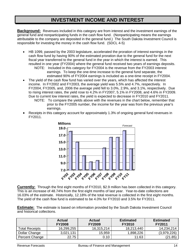#### **INVESTMENT INCOME AND INTEREST**

**Background:** Revenues included in this category are from interest and the investment earnings of the general fund and nonparticipating funds in the cash flow fund. (Nonparticipating means the earnings attributable to the company are deposited in the general fund.) The South Dakota Investment Council is responsible for investing the money in the cash flow fund. (SDCL 4-5)

• HB 1099, passed by the 2003 legislature, accelerated the proration of interest earnings in the cash flow fund by having 90% of the estimated proration due to the general fund for the next fiscal year transferred to the general fund in the year in which the interest is earned. This resulted in one year (FY2004) where the general fund received two years of earnings deposits.

NOTE: Included in this category for FY2004 is the revenue from the FY2003 interest earnings. To keep the one-time increase to the general fund separate, the estimated 90% of FY2004 earnings is included as a one-time receipt in FY2004.

- The yield of the cash flow fund has varied over the years, which has affected the interest income. In FY2002 and FY2003, the average yield was 5.5% and 4.7%, respectively. In FY2004, FY2005, and, 2006 the average yield fell to 3.0%, 2.9%, and 3.1%, respectively. Due to rising interest rates, the yield rose to 4.2% in FY2007, 5.1% in FY2008, and 4.6% in FY2009. Due to current low interest rates, the yield is expected to decrease in FY2010 and FY2011. NOTE: To compare the yields above with the revenues in the chart below, remember that
	- prior to the FY2005 number, the income for the year was from the previous year's earnings.
- Receipts in this category account for approximately 1.3% of ongoing general fund revenues in FY2011.



**Currently:** Through the first eight months of FY2010, \$2.9 million has been collected in this category. This is an increase of 48.74% from the first eight months of last year. Year-to-date collections are 16.03% of the estimate. Historically, 12.18% of the total revenue is collected in the first eight months. The yield of the cash flow fund is estimated to be 4.0% for FY2010 and 3.5% for FY2011.

**Estimate:** The estimate is based on information provided by the South Dakota Investment Council and historical collections.

|                       | <b>Actual</b><br><b>FY2008</b> | Actual<br><b>FY2009</b> | <b>Estimated</b><br><b>FY2010</b> | <b>Estimated</b><br><b>FY2011</b> |
|-----------------------|--------------------------------|-------------------------|-----------------------------------|-----------------------------------|
| <b>Total Receipts</b> | 16,299,255                     | 16,315,214              | 18,213,440                        | 14,234,214                        |
| Dollar Change         | 3,021,131                      | 15,959                  | 1,898,226                         | (3.979.226)                       |
| Percent Change        | 22.75                          | 0.10                    | 11.63                             | (21.85)                           |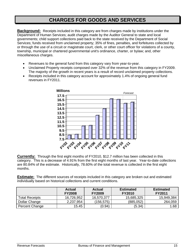#### **CHARGES FOR GOODS AND SERVICES**

**Background:** Receipts included in this category are from charges made by institutions under the Department of Human Services; audit charges made by the Auditor General to state and local governments; child support collections paid back to the state received by the Department of Social Services; funds received from unclaimed property; 35% of fines, penalties, and forfeitures collected by or through the use of a circuit or magistrate court, clerk, or other court officer for violations of a county, township, municipal or chartered governmental unit's ordinance, charter, or bylaw; and, other miscellaneous charges.

- Revenues to the general fund from this category vary from year-to-year.
- Unclaimed Property receipts composed over 32% of the revenue from this category in FY2009. The majority of the growth in recent years is a result of record unclaimed property collections.
- Receipts included in this category account for approximately 1.4% of ongoing general fund revenues in FY2011.



**Currently:** Through the first eight months of FY2010, \$12.7 million has been collected in this category. This is a decrease of 4.91% from the first eight months of last year. Year-to-date collections are 80.84% of the estimate. Historically, 78.60% of the total revenue is collected in the first eight months.

**Estimate:** The different sources of receipts included in this category are broken out and estimated individually based on historical collections and current conditions.

|                | <b>Actual</b><br><b>FY2008</b> | <b>Actual</b><br><b>FY2009</b> | <b>Estimated</b><br><b>FY2010</b> | <b>Estimated</b><br><b>FY2011</b> |
|----------------|--------------------------------|--------------------------------|-----------------------------------|-----------------------------------|
| Total Receipts | 16,726,952                     | 16,570,377                     | 15,685,325                        | 15,949,384                        |
| Dollar Change  | 2,237,954                      | (156,575)                      | (885, 052)                        | 264,059                           |
| Percent Change | 15.45                          | (0.94)                         | (5.34)                            | 1.68                              |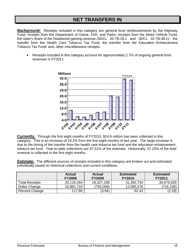#### **NET TRANSFERS IN**

**Background:** Receipts included in this category are general fund reimbursements by the Highway Fund; receipts from the Department of Game, Fish, and Parks; receipts from the Motor Vehicle Fund; the state's share of the Deadwood gaming revenue (SDCL 42-7B-28.1 and SDCL 42-7B-48.1); the transfer from the Health Care Tobacco Tax Fund; the transfer from the Education Enhancement Tobacco Tax Fund: and, other miscellaneous receipts.

• Receipts included in this category account for approximately 2.7% of ongoing general fund revenues in FY2011.



**Currently:** Through the first eight months of FY2010, \$14.9 million has been collected in this category. This is an increase of 19.1% from the first eight months of last year. The large increase is due to the timing of the transfer from the health care tobacco tax fund and the education enhancement tobacco tax fund. Year-to-date collections are 47.51% of the estimate. Historically, 57.22% of the total revenue is collected in the first eight months.

**Estimate:** The different sources of receipts included in this category are broken out and estimated individually based on historical collections and current conditions.

|                | <b>Actual</b><br><b>FY2008</b> | <b>Actual</b><br><b>FY2009</b> | <b>Estimated</b><br><b>FY2010</b> | <b>Estimated</b><br><b>FY2011</b> |
|----------------|--------------------------------|--------------------------------|-----------------------------------|-----------------------------------|
| Total Receipts | 20,119,164                     | 19,327,158                     | 31,392,734                        | 30,676,628                        |
| Dollar Change  | 10,881,733                     | (792,006)                      | 12,065,576                        | (716,106)                         |
| Percent Change | 117.80                         | (3.94)                         | 62.43                             | (2.28)                            |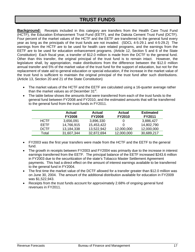#### **TRUST FUNDS**

**Background:** Receipts included in this category are transfers from the Health Care Trust Fund (HCTF), the Education Enhancement Trust Fund (EETF), and the Dakota Cement Trust Fund (DCTF). Four percent of the market values of the HCTF and the EETF are transferred to the general fund every year as long as the principals of the trust funds are not invaded. (SDCL 4-5-29.1 and 4-5-29.2) The earnings from the HCTF are to be used for health care related programs, and the earnings from the EETF are to be used for education enhancement programs. (Article 12, Section 5 and 6 of the State Constitution) Each fiscal year, a transfer of \$12.0 million is made from the DCTF to the general fund. Other than this transfer, the original principal of the trust fund is to remain intact. However, the legislature shall, by appropriation, make distributions from the difference between the \$12.0 million annual transfer and 5% of the market value of the trust fund for the support of education, but not for the replacement of state aid to general education or special education, if the increase in the market value of the trust fund is sufficient to maintain the original principal of the trust fund after such distributions. (Article 13, Section 20 and 21 of the State Constitution)

- The market values of the HCTF and the EETF are calculated using a 16-quarter average rather than the market values as of December  $31<sup>st</sup>$ .
- The table below shows the amounts that were transferred from each of the trust funds to the general fund between FY2008 and FY2010, and the estimated amounts that will be transferred to the general fund from the trust funds in FY2011.

|             | <b>Actual</b><br><b>FY2008</b> | Actual<br><b>FY2008</b> | Actual<br><b>FY2010</b> | <b>Estimated</b><br><b>FY2011</b> |
|-------------|--------------------------------|-------------------------|-------------------------|-----------------------------------|
| <b>HCTF</b> | 3,656,091                      | 3,896,330               | 0                       | 3,886,427                         |
| <b>FFTE</b> | 14,766,915                     | 15,453,422              |                         | 14,802,790                        |
| <b>DCTF</b> | 13,184,338                     | 13,522,942              | 12,000,000              | 12,000,000                        |
| Total       | 31,607,344                     | 32,872,694              | 12,000,000              | 30,689,217                        |

- FY2003 was the first year transfers were made from the HCTF and the EETF to the general fund.
- The growth in receipts between FY2003 and FY2004 was primarily due to the increase in interest earnings transferred from the EETF. The principal balance of the EETF increased \$243.6 million in FY2003 due to the securitization of the state's Tobacco Master Settlement Agreement payments. This had a direct effect on the amount of interest earnings available to be transferred to the general fund in FY2004.
- The first time the market value of the DCTF allowed for a transfer greater than \$12.0 million was on June 30, 2004. The amount of the additional distribution available for education in FY2009 was \$1,522,943.
- Receipts from the trust funds account for approximately 2.68% of ongoing general fund revenues in FY2011.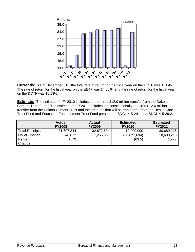

Currently: As of December 31<sup>st</sup>, the total rate of return for the fiscal year on the HCTF was 15.04%. The rate of return for the fiscal year on the EETF was 14.80%, and the rate of return for the fiscal year on the DCTF was 15.13%.

**Estimate:** The estimate for FY2010 includes the required \$12.0 million transfer from the Dakota Cement Trust Fund. The estimate for FY2011 includes the constitutionally required \$12.0 million transfer from the Dakota Cement Trust and the amounts that will be transferred from the Health Care Trust Fund and Education Enhancement Trust Fund pursuant to SDCL 4-5-29.1 and SDCL 4-5-29.2.

|                | <b>Actual</b><br><b>FY2008</b> | Actual<br><b>FY2009</b> | <b>Estimated</b><br><b>FY2010</b> | <b>Estimated</b><br><b>FY2011</b> |
|----------------|--------------------------------|-------------------------|-----------------------------------|-----------------------------------|
| Total Receipts | 31,607,344                     | 32,872,694              | 12,000,000                        | 30,689,216                        |
| Dollar Change  | 248,612                        | ,265,350                | (20,872,694)                      | 18,689,216                        |
| Percent        | 0.79                           | 4.0                     | (63.5)                            | 155.7                             |
| Change         |                                |                         |                                   |                                   |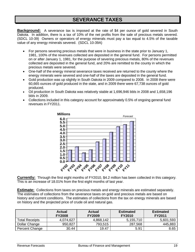#### **SEVERANCE TAXES**

**Background:** A severance tax is imposed at the rate of \$4 per ounce of gold severed in South Dakota. In addition, there is a tax of 10% of the net profits from the sale of precious metals severed. (SDCL 10-39) Owners or operators of energy minerals must pay a tax equal to 4.5% of the taxable value of any energy minerals severed. (SDCL 10-39A)

- For persons severing precious metals that were in business in the state prior to January 1, 1981, 100% of the revenues collected are deposited in the general fund. For persons permitted on or after January 1, 1981, for the purpose of severing precious metals, 80% of the revenues collected are deposited in the general fund, and 20% are remitted to the county in which the precious metals were severed.
- One-half of the energy mineral severance taxes received are returned to the county where the energy minerals were severed and one-half of the taxes are deposited in the general fund.
- Gold production was up slightly in South Dakota in 2009 compared to 2008. In 2008 there were 60,665 ounces of gold produced in the state, and in 2009 there were 67,738 ounces of gold produced.
- Oil production in South Dakota was relatively stable at 1,696,946 bbls in 2008 and 1,658,196 bbls in 2009.
- Collections included in this category account for approximately 0.5% of ongoing general fund revenues in FY2011.



**Currently:** Through the first eight months of FY2010, \$4.2 million has been collected in this category. This is an increase of 18.01% from the first eight months of last year.

**Estimate:** Collections from taxes on precious metals and energy minerals are estimated separately. The estimates of collections from the severance taxes on gold and precious metals are based on history and current conditions. The estimates of collections from the tax on energy minerals are based on history and the projected price of crude oil and natural gas.

|                       | <b>Actual</b><br><b>FY2008</b> | <b>Actual</b><br><b>FY2009</b> | <b>Estimated</b><br><b>FY2010</b> | <b>Estimated</b><br><b>FY2011</b> |
|-----------------------|--------------------------------|--------------------------------|-----------------------------------|-----------------------------------|
| <b>Total Receipts</b> | 4,074,627                      | 4,868,142                      | 5,155,710                         | 5,601,593                         |
| Dollar Change         | 950,827                        | 793,515                        | 287,568                           | 445,883                           |
| Percent Change        | 30.44                          | 19.47                          | 5.91                              | 8.65                              |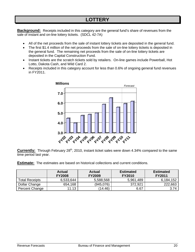#### **LOTTERY**

**Background:** Receipts included in this category are the general fund's share of revenues from the sale of instant and on-line lottery tickets. (SDCL 42-7A)

- All of the net proceeds from the sale of instant lottery tickets are deposited in the general fund.
- The first \$1.4 million of the net proceeds from the sale of on-line lottery tickets is deposited in the general fund. The remaining net proceeds from the sale of on-line lottery tickets are deposited in the Capital Construction Fund.
- Instant tickets are the scratch tickets sold by retailers. On-line games include Powerball, Hot Lotto, Dakota Cash, and Wild Card 2.
- Receipts included in this category account for less than 0.6% of ongoing general fund revenues in FY2011.



**Currently:** Through February 28<sup>th</sup>, 2010, instant ticket sales were down 4.34% compared to the same time period last year.

**Estimate:** The estimates are based on historical collections and current conditions.

|                       | <b>Actual</b><br><b>FY2008</b> | Actual<br><b>FY2009</b> | <b>Estimated</b><br><b>FY2010</b> | <b>Estimated</b><br><b>FY2011</b> |
|-----------------------|--------------------------------|-------------------------|-----------------------------------|-----------------------------------|
| <b>Total Receipts</b> | 6,533,644                      | 5,588,568               | 5,961,489                         | 6,184,152                         |
| Dollar Change         | 654,168                        | (945,076)               | 372,921                           | 222,663                           |
| Percent Change        | 11.13                          | (14.46)                 | 6.67                              | 3.74                              |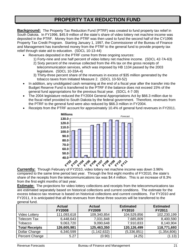#### **PROPERTY TAX REDUCTION FUND**

**Background:** The Property Tax Reduction Fund (PTRF) was created to fund property tax relief in South Dakota. In FY1996, \$45.9 million of the state's share of video lottery net machine income was deposited in the PTRF. Money from the PTRF was then used to fund the second half of the CY1996 Property Tax Credit Program. Starting January 1, 1997, the Commissioner of the Bureau of Finance and Management has transferred money from the PTRF to the general fund to provide property tax relief through state aid to education. (SDCL 10-13-44)

- Revenues deposited in the PTRF come from three ongoing sources:
	- 1) Forty-nine and one half percent of video lottery net machine income. (SDCL 42-7A-63) 2) Sixty percent of the revenue collected from the 4% tax on the gross receipts of
	- telecommunication services, which was imposed by HB 1104 passed by the 2003 legislature. (SDCL 10-33A-4)
	- 3) Thirty-three percent share of the revenues in excess of \$35 million generated by the tobacco taxes from Initiated Measure 2. (SDCL 10-50-52)
- In addition, any unobligated cash remaining at the end of a fiscal year after the transfer into the Budget Reserve Fund is transferred to the PTRF if the balance does not exceed 15% of the general fund appropriations for the previous fiscal year. (SDCL 4-7-39)
- The 2004 legislature reduced the FY2004 General Appropriations Act by \$66.3 million due to the fiscal relief provided to South Dakota by the federal government. Therefore, revenues from the PTRF to the general fund were also reduced by \$66.3 million in FY2004.
- Receipts from the PTRF account for approximately 10.4% of general fund revenues in FY2011.



**Currently:** Through February of FY2010, video lottery net machine income was down 3.96% compared to the same time period last year. Through the first eight months of FY2010, the state's share of the receipts from the telecommunications tax was \$4.4 million. This is an increase of 8.3% from the first eight months of last year.

**Estimate:** The projections for video lottery collections and receipts from the telecommunications tax are estimated separately based on historical collections and current conditions. The estimate for the excess tobacco tax revenue is based on historical collections and current conditions. For FY2010 and FY2011, it is anticipated that all the revenues from these three sources will be transferred to the general fund.

|                       | <b>Actual</b><br><b>FY2008</b> | <b>Actual</b><br><b>FY2009</b> | <b>Estimated</b><br><b>FY2010</b> | <b>Estimated</b><br><b>FY2011</b> |
|-----------------------|--------------------------------|--------------------------------|-----------------------------------|-----------------------------------|
| <b>Video Lottery</b>  | 111,093,618                    | 109,340,854                    | 104,529,856                       | 102,230,199                       |
| Telecom Tax           | 6,448,643                      | 7,031,848                      | 7,685,809                         | 8,400,590                         |
| Tobacco               | 9,063,720                      | 9,090,648                      | 7,910,833                         | 8,140,904                         |
| <b>Total Receipts</b> | 126,605,981                    | 125,463,350                    | 120,126,499                       | 118,771,693                       |
| Dollar Change         | 6,340,599                      | (1, 142, 632)                  | (5,336,851)                       | (1, 354, 806)                     |
| Percent Change        | 5.27                           | (0.90)                         | (4.25)                            | (1.13)                            |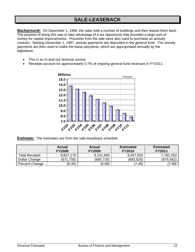#### **SALE-LEASEBACK**

**Background:** On December 1, 1986, the state sold a number of buildings and then leased them back. The purpose of doing this was to take advantage of a tax opportunity that provided a large sum of money for capital improvements. Proceeds from the sale were also used to purchase an annuity contract. Starting December 1, 1987, annuity payments are deposited in the general fund. The annuity payments are then used to make the lease payments, which are appropriated annually by the legislature.

- This is an in-and-out revenue source.
- Receipts account for approximately 0.7% of ongoing general fund revenues in FY2011.



**Estimate:** The estimates are from the sale-leaseback schedule.

|                       | <b>Actual</b><br><b>FY2008</b> | <b>Actual</b><br><b>FY2009</b> | <b>Estimated</b><br><b>FY2010</b> | <b>Estimated</b><br><b>FY2011</b> |
|-----------------------|--------------------------------|--------------------------------|-----------------------------------|-----------------------------------|
| <b>Total Receipts</b> | 9,827,175                      | 9,141,450                      | 8,457,825                         | 7,782,263                         |
| Dollar Change         | (671,700)                      | (685,725)                      | (683, 625)                        | (675, 562)                        |
| Percent Change        | (6.40)                         | (6.98)                         | (7.48)                            | (7.99)                            |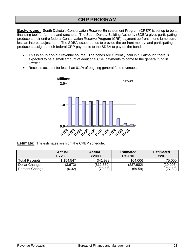#### **CRP PROGRAM**

**Background:** South Dakota's Conservation Reserve Enhancement Program (CREP) is set up to be a financing tool for farmers and ranchers. The South Dakota Building Authority (SDBA) gives participating producers their entire federal Conservation Reserve Program (CRP) payment up-front in one lump sum, less an interest adjustment. The SDBA issued bonds to provide the up-front money, and participating producers assigned their federal CRP payments to the SDBA to pay off the bonds.

- This is an in-and-out revenue source. The bonds are currently paid in full although there is expected to be a small amount of additional CRP payments to come to the general fund in FY2011.
- Receipts account for less than 0.1% of ongoing general fund revenues.



**Estimate:** The estimates are from the CREP schedule.

|                       | <b>Actual</b><br><b>FY2008</b> | <b>Actual</b><br><b>FY2009</b> | <b>Estimated</b><br><b>FY2010</b> | <b>Estimated</b><br><b>FY2011</b> |
|-----------------------|--------------------------------|--------------------------------|-----------------------------------|-----------------------------------|
| <b>Total Receipts</b> | 1,154,547                      | 341,988                        | 104,006                           | 75,000                            |
| Dollar Change         | (3,673)                        | (812,559)                      | (237,982)                         | (29,006)                          |
| Percent Change        | (0.32)                         | (70.38)                        | (69.59)                           | (27.89)                           |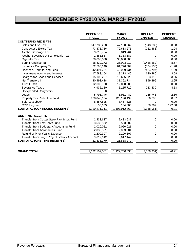# **DECEMBER FY2010 VS. MARCH FY2010**

|                                               | <b>DECEMBER</b><br>FY2010 | <b>MARCH</b><br>FY2010 | <b>DOLLAR</b><br><b>CHANGE</b> | <b>PERCENT</b><br><b>CHANGE</b> |
|-----------------------------------------------|---------------------------|------------------------|--------------------------------|---------------------------------|
| <b>CONTINUING RECEIPTS</b>                    |                           |                        |                                |                                 |
| Sales and Use Tax                             | 647,738,298               | 647,190,262            | (548, 036)                     | $-0.08$                         |
| Contractor's Excise Tax                       | 73,375,756                | 72,613,271             | (762, 485)                     | $-1.04$                         |
| Alcohol Beverage Tax                          | 9,819,764                 | 9,819,764              | 0                              | 0.00                            |
| Alcohol Beverage 2% Wholesale Tax             | 1,383,587                 | 1,383,587              | 0                              | 0.00                            |
| Cigarette Tax                                 | 30,000,000                | 30,000,000             | 0                              | 0.00                            |
| <b>Bank Franchise Tax</b>                     | 28,439,272                | 26,003,010             | (2,436,262)                    | $-8.57$                         |
| Insurance Company Tax                         | 62,580,140                | 61,776,004             | (804, 136)                     | $-1.28$                         |
| Licenses, Permits, and Fees                   | 42,494,231                | 42,029,434             | (464, 797)                     | $-1.09$                         |
| Investment Income and Interest                | 17,583,154                | 18,213,440             | 630,286                        | 3.58                            |
| Charges for Goods and Services                | 15,102,207                | 15,685,325             | 583,118                        | 3.86                            |
| Net Transfers In                              | 30,493,438                | 31,392,734             | 899,296                        | 2.95                            |
| <b>Trust Funds</b>                            | 12,000,000                | 12,000,000             | 0                              | 0.00                            |
| Severance Taxes                               | 4,932,180                 | 5,155,710              | 223,530                        | 4.53                            |
| <b>Unexpended Carryovers</b>                  | 0                         | $\Omega$               | 0                              |                                 |
| Lottery                                       | 5,795,746                 | 5,961,489              | 165,743                        | 2.86                            |
| Property Tax Reduction Fund                   | 120,040,104               | 120,126,499            | 86,395                         | 0.07                            |
| Sale-Leaseback                                | 8,457,825                 | 8,457,825              | 0                              | 0.00                            |
| <b>CRP Program</b>                            | 35,609                    | 104,006                | 68,397                         | 192.08                          |
| <b>SUBTOTAL (CONTINUING RECEIPTS)</b>         | 1,110,271,311             | 1,107,912,360          | (2,358,951)                    | $-0.21$                         |
| <b>ONE-TIME RECEIPTS</b>                      |                           |                        |                                |                                 |
| Transfer from Custer State Park Impr. Fund    | 2,433,637                 | 2,433,637              | 0                              | 0.00                            |
| Transfer from Tax Relief Fund                 | 3,533,582                 | 3,533,582              | 0                              | 0.00                            |
| Transfer from Budgetary Accounting Fund       | 2,020,021                 | 2,020,021              | 0                              | 0.00                            |
| <b>Transfer from Aeronautics Fund</b>         | 2,033,581                 | 2,033,581              | 0                              | 0.00                            |
| Refund of Prior Year's Expense                | 2,200,307                 | 2,200,307              | 0                              | 0.00                            |
| Transfer from Large Project Liability Account | 9,617,142                 | 9,617,142              | 0                              | 0.00                            |
| <b>SUBTOTAL (ONE-TIME RECEIPTS)</b>           | 21,838,270                | 21,838,270             | $\Omega$                       | 0.00                            |
| <b>GRAND TOTAL</b>                            | 1,132,109,581             | 1,129,750,630          | (2,358,951)                    | $-0.21$                         |
|                                               |                           |                        |                                |                                 |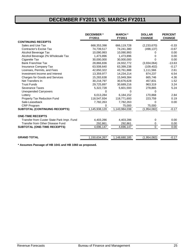### **DECEMBER FY2011 VS. MARCH FY2011**

|                                            | <b>DECEMBER*</b><br>FY2011 | <b>MARCH</b> *<br><b>FY2011</b> | <b>DOLLAR</b><br><b>CHANGE</b> | <b>PERCENT</b><br><b>CHANGE</b> |
|--------------------------------------------|----------------------------|---------------------------------|--------------------------------|---------------------------------|
| <b>CONTINUING RECEIPTS</b>                 |                            |                                 |                                |                                 |
| Sales and Use Tax                          | 668,353,398                | 666,119,728                     | (2,233,670)                    | $-0.33$                         |
| Contractor's Excise Tax                    | 74,739,517                 | 74,241,380                      | (498, 137)                     | $-0.67$                         |
| Alcohol Beverage Tax                       | 10,090,993                 | 10,090,993                      | 0                              | 0.00                            |
| Alcohol Beverage 2% Wholesale Tax          | 1,473,896                  | 1,473,896                       | 0                              | 0.00                            |
| Cigarette Tax                              | 30,000,000                 | 30,000,000                      | O                              | 0.00                            |
| <b>Bank Franchise Tax</b>                  | 28,866,836                 | 24,932,772                      | (3,934,064)                    | $-13.63$                        |
| Insurance Company Tax                      | 63,508,640                 | 63,399,238                      | (109, 402)                     | $-0.17$                         |
| Licenses, Permits, and Fees                | 42,650,322                 | 43,761,888                      | 1,111,566                      | 2.61                            |
| Investment Income and Interest             | 13,359,977                 | 14,234,214                      | 874,237                        | 6.54                            |
| <b>Charges for Goods and Services</b>      | 15,283,638                 | 15,949,384                      | 665,746                        | 4.36                            |
| Net Transfers In                           | 30,218,797                 | 30,676,628                      | 457,831                        | 1.52                            |
| <b>Trust Funds</b>                         | 29,725,897                 | 30,689,216                      | 963,319                        | 3.24                            |
| Severance Taxes                            | 5,322,728                  | 5,601,593                       | 278,865                        | 5.24                            |
| <b>Unexpended Carryovers</b>               | $\Omega$                   | $\Omega$                        | $\Omega$                       |                                 |
| Lottery                                    | 6,013,284                  | 6.184.152                       | 170.868                        | 2.84                            |
| Property Tax Reduction Fund                | 118,547,934                | 118,771,693                     | 223,759                        | 0.19                            |
| Sale-Leaseback                             | 7,782,263                  | 7,782,263                       | 0                              | 0.00                            |
| <b>CRP Program</b>                         | 0                          | 75,000                          | 75,000                         |                                 |
| <b>SUBTOTAL (CONTINUING RECEIPTS)</b>      | 1,145,938,120              | 1,143,984,038                   | (1,954,082)                    | $-0.17$                         |
| <b>ONE-TIME RECEIPTS</b>                   |                            |                                 |                                |                                 |
| Transfer from Custer State Park Impr. Fund | 4,403,286                  | 4,403,286                       | 0                              | 0.00                            |
| Transfer from Other Disease Fund           | 292,861                    | 292,861                         | 0                              | 0.00                            |
| <b>SUBTOTAL (ONE-TIME RECEIPTS)</b>        | 4,696,147                  | 4,696,147                       | $\Omega$                       | 0.00                            |
|                                            |                            |                                 |                                |                                 |
| <b>GRAND TOTAL</b>                         | 1,150,634,267              | 1,148,680,185                   | (1,954,082)                    | $-0.17$                         |

**\* Assumes Passage of HB 1041 and HB 1060 as proposed.**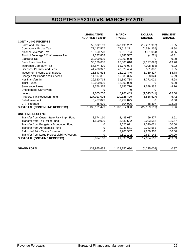### **ADOPTED FY2010 VS. MARCH FY2010**

|                                               | <b>LEGISLATIVE</b><br><b>ADOPTED FY2010</b> | <b>MARCH</b><br><b>FY2010</b> | <b>DOLLAR</b><br><b>CHANGE</b> | <b>PERCENT</b><br><b>CHANGE</b> |
|-----------------------------------------------|---------------------------------------------|-------------------------------|--------------------------------|---------------------------------|
| <b>CONTINUING RECEIPTS</b>                    |                                             |                               |                                |                                 |
| Sales and Use Tax                             | 659,392,169                                 | 647,190,262                   | (12, 201, 907)                 | $-1.85$                         |
| Contractor's Excise Tax                       | 77,197,527                                  | 72,613,271                    | (4,584,256)                    | $-5.94$                         |
| Alcohol Beverage Tax                          | 10,150,778                                  | 9,819,764                     | (331, 014)                     | $-3.26$                         |
| Alcohol Beverage 2% Wholesale Tax             | 1,387,858                                   | 1,383,587                     | (4,271)                        | $-0.31$                         |
| Cigarette Tax                                 | 30,000,000                                  | 30,000,000                    | $\Omega$                       | 0.00                            |
| <b>Bank Franchise Tax</b>                     | 30,130,638                                  | 26,003,010                    | (4, 127, 628)                  | $-13.70$                        |
| <b>Insurance Company Tax</b>                  | 65,874,470                                  | 61,776,004                    | (4,098,466)                    | $-6.22$                         |
| Licenses, Permits, and Fees                   | 41,468,347                                  | 42,029,434                    | 561,087                        | 1.35                            |
| Investment Income and Interest                | 11,843,613                                  | 18,213,440                    | 6,369,827                      | 53.78                           |
| Charges for Goods and Services                | 14,897,301                                  | 15,685,325                    | 788,024                        | 5.29                            |
| Net Transfers In                              | 29,620,713                                  | 31,392,734                    | 1,772,021                      | 5.98                            |
| <b>Trust Funds</b>                            | 12,000,000                                  | 12,000,000                    | 0                              | 0.00                            |
| Severance Taxes                               | 3,576,375                                   | 5,155,710                     | 1,579,335                      | 44.16                           |
| <b>Unexpended Carryovers</b>                  | 0                                           | 0                             | 0                              |                                 |
| Lottery                                       | 7,055,230                                   | 5,961,489                     | (1,093,741)                    | $-15.50$                        |
| Property Tax Reduction Fund                   | 127,013,026                                 | 120,126,499                   | (6,886,527)                    | $-5.42$                         |
| Sale-Leaseback                                | 8,457,825                                   | 8,457,825                     | 0                              | 0.00                            |
| CRP Program                                   | 35,609                                      | 104,006                       | 68,397                         | 192.08                          |
| <b>SUBTOTAL (CONTINUING RECEIPTS)</b>         | 1,130,101,479                               | 1,107,912,360                 | (22, 189, 119)                 | $-1.96$                         |
| <b>ONE-TIME RECEIPTS</b>                      |                                             |                               |                                |                                 |
| Transfer from Custer State Park Impr. Fund    | 2,374,160                                   | 2,433,637                     | 59,477                         | 2.51                            |
| <b>Transfer from Tax Relief Fund</b>          | 1,500,000                                   | 3,533,582                     | 2,033,582                      | 135.57                          |
| Transfer from Budgetary Accounting Fund       | 0                                           | 2,020,021                     | 2,020,021                      | 100.00                          |
| <b>Transfer from Aeronautics Fund</b>         | 0                                           | 2,033,581                     | 2,033,581                      | 100.00                          |
| Refund of Prior Year's Expense                | 0                                           | 2,200,307                     | 2,200,307                      | 100.00                          |
| Transfer from Large Project Liability Account |                                             | 9,617,142                     | 9,617,142                      | 100.00                          |
| <b>SUBTOTAL (ONE-TIME RECEIPTS)</b>           | 3,874,160                                   | 21,838,270                    | 17,964,110                     | 463.69                          |
| <b>GRAND TOTAL</b>                            | 1,133,975,639                               | 1,129,750,630                 | (4,225,009)                    | $-0.37$                         |
|                                               |                                             |                               |                                |                                 |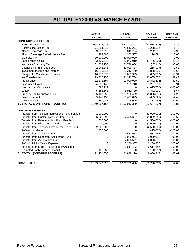## **ACTUAL FY2009 VS. MARCH FY2010**

|                                                       | <b>ACTUAL</b><br><b>FY2009</b> | <b>MARCH</b><br>FY2010 | <b>DOLLAR</b><br><b>CHANGE</b> | <b>PERCENT</b><br><b>CHANGE</b> |
|-------------------------------------------------------|--------------------------------|------------------------|--------------------------------|---------------------------------|
| <b>CONTINUING RECEIPTS</b>                            |                                |                        |                                |                                 |
| Sales and Use Tax                                     | 658,724,471                    | 647,190,262            | (11,534,209)                   | $-1.75$                         |
| Contractor's Excise Tax                               | 71,384,919                     | 72,613,271             | 1,228,352                      | 1.72                            |
| Alcohol Beverage Tax                                  | 9,537,513                      | 9,819,764              | 282,251                        | 2.96                            |
| Alcohol Beverage 2% Wholesale Tax                     | 1,284,896                      | 1,383,587              | 98,691                         | 7.68                            |
| Cigarette Tax                                         | 30,000,000                     | 30,000,000             | $\Omega$                       | 0.00                            |
| <b>Bank Franchise Tax</b>                             | 33,409,213                     | 26,003,010             | (7,406,203)                    | $-22.17$                        |
| Insurance Company Tax                                 | 61,823,150                     | 61,776,004             | (47, 146)                      | $-0.08$                         |
| Licenses, Permits, and Fees                           | 42,248,341                     | 42,029,434             | (218, 907)                     | $-0.52$                         |
| Investment Income and Interest                        | 16,315,214                     | 18,213,440             | 1,898,226                      | 11.63                           |
| Charges for Goods and Services                        | 16,570,377                     | 15,685,325             | (885, 052)                     | $-5.34$                         |
| Net Transfers In                                      | 19,327,158                     | 31,392,734             | 12,065,576                     | 62.43                           |
| <b>Trust Funds</b>                                    | 32,872,694                     | 12,000,000             | (20, 872, 694)                 | $-63.50$                        |
| Severance Taxes                                       | 4,868,142                      | 5,155,710              | 287,568                        | 5.91                            |
| <b>Unexpended Carryovers</b>                          | 1,695,722                      | $\Omega$               | (1,695,722)                    | $-100.00$                       |
| Lottery                                               | 5,588,568                      | 5,961,489              | 372,921                        | 6.67                            |
| Property Tax Reduction Fund                           | 125,463,350                    | 120,126,499            | (5,336,851)                    | $-4.25$                         |
| Sale-Leaseback                                        | 9,141,450                      | 8,457,825              | (683, 625)                     | $-7.48$                         |
| <b>CRP Program</b>                                    | 341,988                        | 104,006                | (237, 982)                     | $-69.59$                        |
| SUBTOTAL (CONTINUING RECEIPTS)                        | 1,140,597,167                  | 1,107,912,360          | (32,684,807)                   | $-2.87$                         |
| <b>ONE-TIME RECEIPTS</b>                              |                                |                        |                                |                                 |
| <b>Transfer from Telecommunications Relay Service</b> | 1,000,000                      | 0                      | (1,000,000)                    | $-100.00$                       |
| Transfer from Custer State Park Impr. Fund            | 6,325,898                      | 2,433,637              | (3,892,261)                    | $-61.53$                        |
| Transfer from Private Activity Bond Fee Fund          | 1,500,000                      | 0                      | (1,500,000)                    | $-100.00$                       |
| Transfer from Pheasantland Industries Fund            | 1,000,000                      | 0                      | (1,000,000)                    | $-100.00$                       |
| Transfer from Tobacco Prev. & Red. Trust Fund         | 2,500,000                      | $\mathbf 0$            | (2,500,000)                    | $-100.00$                       |
| <b>Refinancing Gains</b>                              | 475,000                        | $\Omega$               | (475,000)                      | $-100.00$                       |
| Transfer from Tax Relief Fund                         | 0                              | 3,533,582              | 3,533,582                      | 100.00                          |
| Transfer from Budgetary Accounting Fund               | 0                              | 2,020,021              | 2,020,021                      | 100.00                          |
| <b>Transfer from Aeronautics Fund</b>                 | 0                              | 2,033,581              | 2,033,581                      | 100.00                          |
| Refund of Prior Year's Expense                        | $\overline{0}$                 | 2,200,307              | 2,200,307                      | 100.00                          |
| Transfer from Large Project Liability Account         | $\overline{0}$                 | 9,617,142              | 9,617,142                      | 100.00                          |
| <b>Obligated Cash Carried Forward</b>                 | 150,957                        | 0                      | (150, 957)                     | $-100.00$                       |
| SUBTOTAL (ONE-TIME RECEIPTS)                          | 12,951,855                     | 21,838,270             | 8,886,415                      | 68.61                           |
| <b>GRAND TOTAL</b>                                    | 1,153,549,022                  | 1,129,750,630          | (23, 798, 392)                 | $-2.06$                         |
|                                                       |                                |                        |                                |                                 |